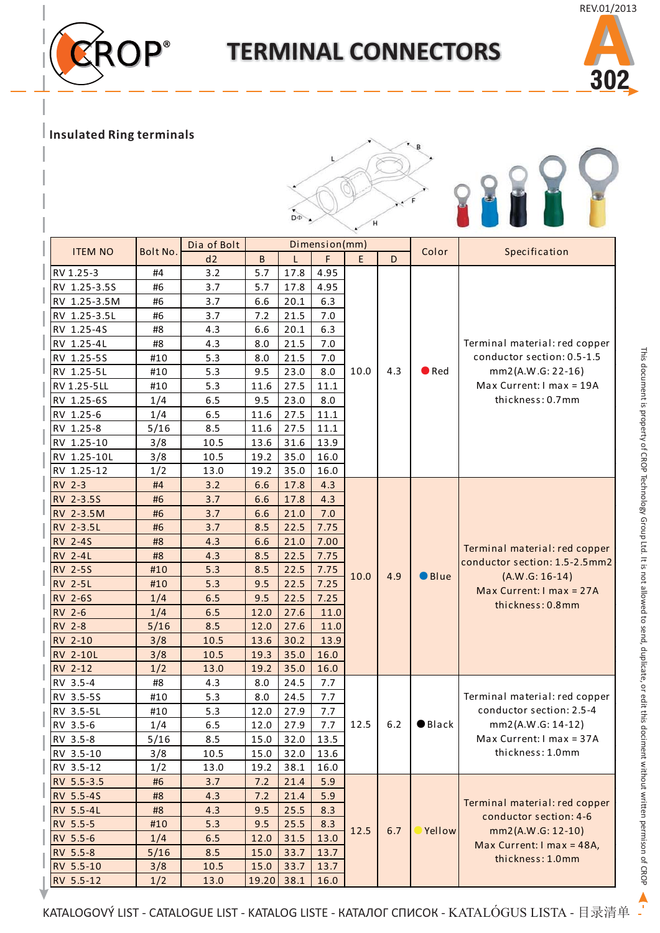## $ROP^*$

## **TERMINAL CONNECTORS**



## **Insulated Ring terminals**



|                 |          | Dia of Bolt | Dimension(mm) |      |      |        |             |                 |                                                                                                                                    |
|-----------------|----------|-------------|---------------|------|------|--------|-------------|-----------------|------------------------------------------------------------------------------------------------------------------------------------|
| <b>ITEM NO</b>  | Bolt No. | d2          | B             |      | F    | E<br>D | Color       | Specification   |                                                                                                                                    |
| RV 1.25-3       | #4       | 3.2         | 5.7           | 17.8 | 4.95 |        |             |                 |                                                                                                                                    |
| RV 1.25-3.5S    | #6       | 3.7         | 5.7           | 17.8 | 4.95 |        |             |                 |                                                                                                                                    |
| RV 1.25-3.5M    | #6       | 3.7         | 6.6           | 20.1 | 6.3  |        |             |                 |                                                                                                                                    |
| RV 1.25-3.5L    | #6       | 3.7         | 7.2           | 21.5 | 7.0  |        |             |                 |                                                                                                                                    |
| RV 1.25-4S      | #8       | 4.3         | 6.6           | 20.1 | 6.3  |        | 10.0<br>4.3 | $\bullet$ Red   | Terminal material: red copper<br>conductor section: 0.5-1.5<br>mm2(A.W.G: 22-16)<br>Max Current: I max = 19A<br>thickness: 0.7mm   |
| RV 1.25-4L      | #8       | 4.3         | 8.0           | 21.5 | 7.0  |        |             |                 |                                                                                                                                    |
| RV 1.25-5S      | #10      | 5.3         | 8.0           | 21.5 | 7.0  |        |             |                 |                                                                                                                                    |
| RV 1.25-5L      | #10      | 5.3         | 9.5           | 23.0 | 8.0  |        |             |                 |                                                                                                                                    |
| RV 1.25-5LL     | #10      | 5.3         | 11.6          | 27.5 | 11.1 |        |             |                 |                                                                                                                                    |
| RV 1.25-6S      | 1/4      | 6.5         | 9.5           | 23.0 | 8.0  |        |             |                 |                                                                                                                                    |
| RV 1.25-6       | 1/4      | 6.5         | 11.6          | 27.5 | 11.1 |        |             |                 |                                                                                                                                    |
| RV 1.25-8       | 5/16     | 8.5         | 11.6          | 27.5 | 11.1 |        |             |                 |                                                                                                                                    |
| RV 1.25-10      | 3/8      | 10.5        | 13.6          | 31.6 | 13.9 |        |             |                 |                                                                                                                                    |
| RV 1.25-10L     | 3/8      | 10.5        | 19.2          | 35.0 | 16.0 |        |             |                 |                                                                                                                                    |
| RV 1.25-12      | 1/2      | 13.0        | 19.2          | 35.0 | 16.0 |        |             |                 |                                                                                                                                    |
| <b>RV 2-3</b>   | #4       | 3.2         | 6.6           | 17.8 | 4.3  |        |             |                 |                                                                                                                                    |
| RV 2-3.5S       | #6       | 3.7         | 6.6           | 17.8 | 4.3  |        |             |                 | Terminal material: red copper<br>conductor section: 1.5-2.5mm2<br>$(A.W.G: 16-14)$<br>Max Current: I max = 27A<br>thickness: 0.8mm |
| RV 2-3.5M       | #6       | 3.7         | 6.6           | 21.0 | 7.0  |        |             |                 |                                                                                                                                    |
| RV 2-3.5L       | #6       | 3.7         | 8.5           | 22.5 | 7.75 |        |             |                 |                                                                                                                                    |
| <b>RV 2-4S</b>  | #8       | 4.3         | 6.6           | 21.0 | 7.00 |        |             | $\bullet$ Blue  |                                                                                                                                    |
| <b>RV 2-4L</b>  | #8       | 4.3         | 8.5           | 22.5 | 7.75 |        |             |                 |                                                                                                                                    |
| <b>RV 2-5S</b>  | #10      | 5.3         | 8.5           | 22.5 | 7.75 |        |             |                 |                                                                                                                                    |
| <b>RV 2-5L</b>  | #10      | 5.3         | 9.5           | 22.5 | 7.25 | 10.0   | 4.9         |                 |                                                                                                                                    |
| <b>RV 2-6S</b>  | 1/4      | 6.5         | 9.5           | 22.5 | 7.25 |        |             |                 |                                                                                                                                    |
| RV 2-6          | 1/4      | 6.5         | 12.0          | 27.6 | 11.0 |        |             |                 |                                                                                                                                    |
| <b>RV 2-8</b>   | 5/16     | 8.5         | 12.0          | 27.6 | 11.0 |        |             |                 |                                                                                                                                    |
| RV 2-10         | 3/8      | 10.5        | 13.6          | 30.2 | 13.9 |        |             |                 |                                                                                                                                    |
| <b>RV 2-10L</b> | 3/8      | 10.5        | 19.3          | 35.0 | 16.0 |        |             |                 |                                                                                                                                    |
| RV 2-12         | 1/2      | 13.0        | 19.2          | 35.0 | 16.0 |        |             |                 |                                                                                                                                    |
| RV 3.5-4        | #8       | 4.3         | 8.0           | 24.5 | 7.7  |        |             |                 |                                                                                                                                    |
| RV 3.5-5S       | #10      | 5.3         | 8.0           | 24.5 | 7.7  | 12.5   |             | $\bullet$ Black | Terminal material: red copper<br>conductor section: 2.5-4<br>mm2(A.W.G: 14-12)<br>Max Current: I max = 37A<br>thickness: 1.0mm     |
| RV 3.5-5L       | #10      | 5.3         | 12.0          | 27.9 | 7.7  |        |             |                 |                                                                                                                                    |
| RV 3.5-6        | 1/4      | 6.5         | 12.0          | 27.9 | 7.7  |        | 6.2         |                 |                                                                                                                                    |
| RV 3.5-8        | 5/16     | 8.5         | 15.0          | 32.0 | 13.5 |        |             |                 |                                                                                                                                    |
| RV 3.5-10       | 3/8      | 10.5        | 15.0          | 32.0 | 13.6 |        |             |                 |                                                                                                                                    |
| RV 3.5-12       | 1/2      | 13.0        | 19.2          | 38.1 | 16.0 |        |             |                 |                                                                                                                                    |
| RV 5.5-3.5      | #6       | 3.7         | 7.2           | 21.4 | 5.9  |        |             |                 |                                                                                                                                    |
| RV 5.5-4S       | #8       | 4.3         | 7.2           | 21.4 | 5.9  |        |             | Yellow          | Terminal material: red copper<br>conductor section: 4-6<br>mm2(A.W.G: 12-10)<br>Max Current: I max = 48A,<br>thickness: 1.0mm      |
| RV 5.5-4L       | #8       | 4.3         | 9.5           | 25.5 | 8.3  |        |             |                 |                                                                                                                                    |
| RV 5.5-5        | #10      | 5.3         | 9.5           | 25.5 | 8.3  |        | 12.5<br>6.7 |                 |                                                                                                                                    |
| RV 5.5-6        | 1/4      | 6.5         | 12.0          | 31.5 | 13.0 |        |             |                 |                                                                                                                                    |
| RV 5.5-8        | 5/16     | 8.5         | 15.0          | 33.7 | 13.7 |        |             |                 |                                                                                                                                    |
| RV 5.5-10       | 3/8      | 10.5        | 15.0          | 33.7 | 13.7 |        |             |                 |                                                                                                                                    |
| RV 5.5-12       | 1/2      | 13.0        | 19.20         | 38.1 | 16.0 |        |             |                 |                                                                                                                                    |